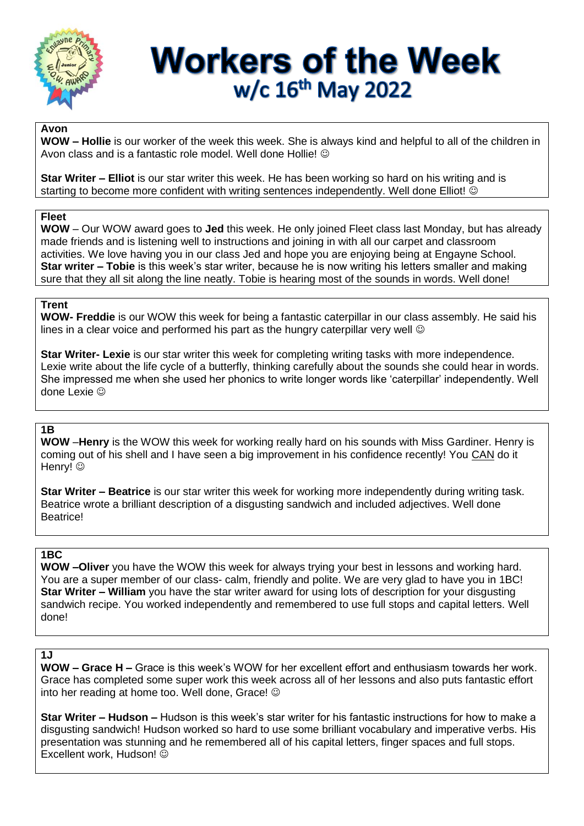

# **Workers of the Week** w/c 16th May 2022

#### **Avon**

**WOW – Hollie** is our worker of the week this week. She is always kind and helpful to all of the children in Avon class and is a fantastic role model. Well done Hollie! ©

**Star Writer – Elliot** is our star writer this week. He has been working so hard on his writing and is starting to become more confident with writing sentences independently. Well done Elliot! ©

#### **Fleet**

**WOW** – Our WOW award goes to **Jed** this week. He only joined Fleet class last Monday, but has already made friends and is listening well to instructions and joining in with all our carpet and classroom activities. We love having you in our class Jed and hope you are enjoying being at Engayne School. **Star writer – Tobie** is this week's star writer, because he is now writing his letters smaller and making sure that they all sit along the line neatly. Tobie is hearing most of the sounds in words. Well done!

#### **Trent**

**WOW- Freddie** is our WOW this week for being a fantastic caterpillar in our class assembly. He said his lines in a clear voice and performed his part as the hungry caterpillar very well  $\odot$ 

**Star Writer- Lexie** is our star writer this week for completing writing tasks with more independence. Lexie write about the life cycle of a butterfly, thinking carefully about the sounds she could hear in words. She impressed me when she used her phonics to write longer words like 'caterpillar' independently. Well done Lexie  $\odot$ 

## **1B**

**WOW** –**Henry** is the WOW this week for working really hard on his sounds with Miss Gardiner. Henry is coming out of his shell and I have seen a big improvement in his confidence recently! You CAN do it Henry! ©

**Star Writer – Beatrice** is our star writer this week for working more independently during writing task. Beatrice wrote a brilliant description of a disgusting sandwich and included adjectives. Well done Beatrice!

# **1BC**

**WOW –Oliver** you have the WOW this week for always trying your best in lessons and working hard. You are a super member of our class- calm, friendly and polite. We are very glad to have you in 1BC! **Star Writer – William** you have the star writer award for using lots of description for your disgusting sandwich recipe. You worked independently and remembered to use full stops and capital letters. Well done!

## **1J**

**WOW – Grace H –** Grace is this week's WOW for her excellent effort and enthusiasm towards her work. Grace has completed some super work this week across all of her lessons and also puts fantastic effort into her reading at home too. Well done, Grace!

**Star Writer – Hudson –** Hudson is this week's star writer for his fantastic instructions for how to make a disgusting sandwich! Hudson worked so hard to use some brilliant vocabulary and imperative verbs. His presentation was stunning and he remembered all of his capital letters, finger spaces and full stops. Excellent work, Hudson!